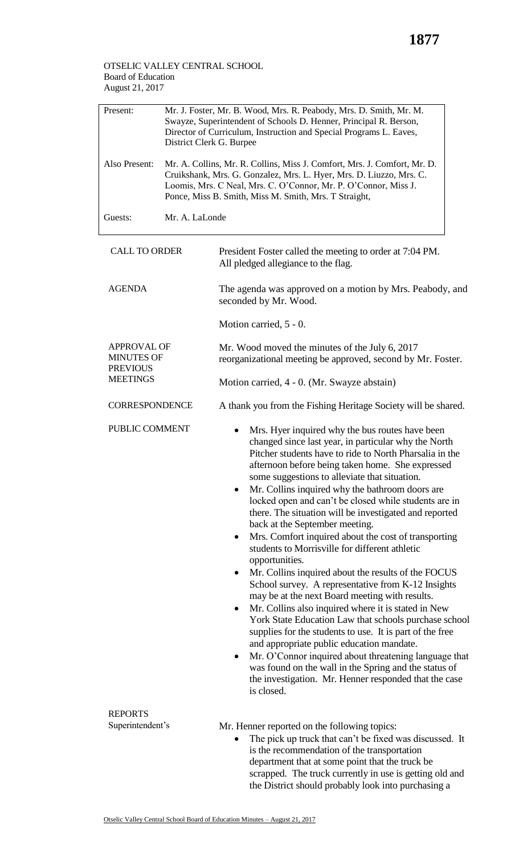## OTSELIC VALLEY CENTRAL SCHOOL Board of Education August 21, 2017

| Present:<br>Also Present:                                  | Mr. J. Foster, Mr. B. Wood, Mrs. R. Peabody, Mrs. D. Smith, Mr. M.<br>Swayze, Superintendent of Schools D. Henner, Principal R. Berson,<br>Director of Curriculum, Instruction and Special Programs L. Eaves,<br>District Clerk G. Burpee<br>Mr. A. Collins, Mr. R. Collins, Miss J. Comfort, Mrs. J. Comfort, Mr. D.<br>Cruikshank, Mrs. G. Gonzalez, Mrs. L. Hyer, Mrs. D. Liuzzo, Mrs. C. |                                                                                                                                                                                                                                                                                                                                                                                                                                                                                                                                                                                                                                                                                                                                                                                                                                                                                                                                                                                                                                                                                                                                                                                                                     |  |  |  |
|------------------------------------------------------------|----------------------------------------------------------------------------------------------------------------------------------------------------------------------------------------------------------------------------------------------------------------------------------------------------------------------------------------------------------------------------------------------|---------------------------------------------------------------------------------------------------------------------------------------------------------------------------------------------------------------------------------------------------------------------------------------------------------------------------------------------------------------------------------------------------------------------------------------------------------------------------------------------------------------------------------------------------------------------------------------------------------------------------------------------------------------------------------------------------------------------------------------------------------------------------------------------------------------------------------------------------------------------------------------------------------------------------------------------------------------------------------------------------------------------------------------------------------------------------------------------------------------------------------------------------------------------------------------------------------------------|--|--|--|
|                                                            | Loomis, Mrs. C Neal, Mrs. C. O'Connor, Mr. P. O'Connor, Miss J.<br>Ponce, Miss B. Smith, Miss M. Smith, Mrs. T Straight,                                                                                                                                                                                                                                                                     |                                                                                                                                                                                                                                                                                                                                                                                                                                                                                                                                                                                                                                                                                                                                                                                                                                                                                                                                                                                                                                                                                                                                                                                                                     |  |  |  |
| Guests:                                                    | Mr. A. LaLonde                                                                                                                                                                                                                                                                                                                                                                               |                                                                                                                                                                                                                                                                                                                                                                                                                                                                                                                                                                                                                                                                                                                                                                                                                                                                                                                                                                                                                                                                                                                                                                                                                     |  |  |  |
| <b>CALL TO ORDER</b>                                       |                                                                                                                                                                                                                                                                                                                                                                                              | President Foster called the meeting to order at 7:04 PM.<br>All pledged allegiance to the flag.                                                                                                                                                                                                                                                                                                                                                                                                                                                                                                                                                                                                                                                                                                                                                                                                                                                                                                                                                                                                                                                                                                                     |  |  |  |
| <b>AGENDA</b>                                              |                                                                                                                                                                                                                                                                                                                                                                                              | The agenda was approved on a motion by Mrs. Peabody, and<br>seconded by Mr. Wood.                                                                                                                                                                                                                                                                                                                                                                                                                                                                                                                                                                                                                                                                                                                                                                                                                                                                                                                                                                                                                                                                                                                                   |  |  |  |
|                                                            |                                                                                                                                                                                                                                                                                                                                                                                              | Motion carried, 5 - 0.                                                                                                                                                                                                                                                                                                                                                                                                                                                                                                                                                                                                                                                                                                                                                                                                                                                                                                                                                                                                                                                                                                                                                                                              |  |  |  |
| <b>APPROVAL OF</b><br><b>MINUTES OF</b><br><b>PREVIOUS</b> |                                                                                                                                                                                                                                                                                                                                                                                              | Mr. Wood moved the minutes of the July 6, 2017<br>reorganizational meeting be approved, second by Mr. Foster.                                                                                                                                                                                                                                                                                                                                                                                                                                                                                                                                                                                                                                                                                                                                                                                                                                                                                                                                                                                                                                                                                                       |  |  |  |
| <b>MEETINGS</b>                                            |                                                                                                                                                                                                                                                                                                                                                                                              | Motion carried, 4 - 0. (Mr. Swayze abstain)                                                                                                                                                                                                                                                                                                                                                                                                                                                                                                                                                                                                                                                                                                                                                                                                                                                                                                                                                                                                                                                                                                                                                                         |  |  |  |
| <b>CORRESPONDENCE</b>                                      |                                                                                                                                                                                                                                                                                                                                                                                              | A thank you from the Fishing Heritage Society will be shared.                                                                                                                                                                                                                                                                                                                                                                                                                                                                                                                                                                                                                                                                                                                                                                                                                                                                                                                                                                                                                                                                                                                                                       |  |  |  |
| PUBLIC COMMENT                                             |                                                                                                                                                                                                                                                                                                                                                                                              | Mrs. Hyer inquired why the bus routes have been<br>changed since last year, in particular why the North<br>Pitcher students have to ride to North Pharsalia in the<br>afternoon before being taken home. She expressed<br>some suggestions to alleviate that situation.<br>Mr. Collins inquired why the bathroom doors are<br>locked open and can't be closed while students are in<br>there. The situation will be investigated and reported<br>back at the September meeting.<br>Mrs. Comfort inquired about the cost of transporting<br>$\bullet$<br>students to Morrisville for different athletic<br>opportunities.<br>Mr. Collins inquired about the results of the FOCUS<br>٠<br>School survey. A representative from K-12 Insights<br>may be at the next Board meeting with results.<br>Mr. Collins also inquired where it is stated in New<br>٠<br>York State Education Law that schools purchase school<br>supplies for the students to use. It is part of the free<br>and appropriate public education mandate.<br>Mr. O'Connor inquired about threatening language that<br>was found on the wall in the Spring and the status of<br>the investigation. Mr. Henner responded that the case<br>is closed. |  |  |  |
| <b>REPORTS</b><br>Superintendent's                         |                                                                                                                                                                                                                                                                                                                                                                                              | Mr. Henner reported on the following topics:<br>The pick up truck that can't be fixed was discussed. It<br>is the recommendation of the transportation<br>department that at some point that the truck be<br>scrapped. The truck currently in use is getting old and                                                                                                                                                                                                                                                                                                                                                                                                                                                                                                                                                                                                                                                                                                                                                                                                                                                                                                                                                |  |  |  |

the District should probably look into purchasing a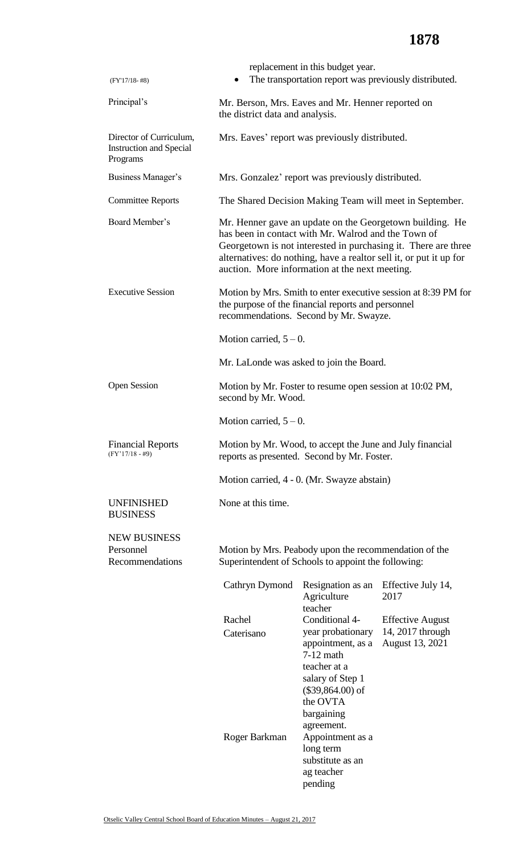| $(FY'17/18-#8)$                                                       |                                                                                                                                                                                                                                                                                                           | replacement in this budget year.                                                                                                                             | The transportation report was previously distributed.          |
|-----------------------------------------------------------------------|-----------------------------------------------------------------------------------------------------------------------------------------------------------------------------------------------------------------------------------------------------------------------------------------------------------|--------------------------------------------------------------------------------------------------------------------------------------------------------------|----------------------------------------------------------------|
| Principal's                                                           | Mr. Berson, Mrs. Eaves and Mr. Henner reported on<br>the district data and analysis.                                                                                                                                                                                                                      |                                                                                                                                                              |                                                                |
| Director of Curriculum,<br><b>Instruction and Special</b><br>Programs |                                                                                                                                                                                                                                                                                                           | Mrs. Eaves' report was previously distributed.                                                                                                               |                                                                |
| Business Manager's                                                    |                                                                                                                                                                                                                                                                                                           | Mrs. Gonzalez' report was previously distributed.                                                                                                            |                                                                |
| <b>Committee Reports</b>                                              | The Shared Decision Making Team will meet in September.                                                                                                                                                                                                                                                   |                                                                                                                                                              |                                                                |
| Board Member's                                                        | Mr. Henner gave an update on the Georgetown building. He<br>has been in contact with Mr. Walrod and the Town of<br>Georgetown is not interested in purchasing it. There are three<br>alternatives: do nothing, have a realtor sell it, or put it up for<br>auction. More information at the next meeting. |                                                                                                                                                              |                                                                |
| <b>Executive Session</b>                                              | Motion by Mrs. Smith to enter executive session at 8:39 PM for<br>the purpose of the financial reports and personnel<br>recommendations. Second by Mr. Swayze.                                                                                                                                            |                                                                                                                                                              |                                                                |
|                                                                       | Motion carried, $5 - 0$ .                                                                                                                                                                                                                                                                                 |                                                                                                                                                              |                                                                |
|                                                                       | Mr. LaLonde was asked to join the Board.                                                                                                                                                                                                                                                                  |                                                                                                                                                              |                                                                |
| <b>Open Session</b>                                                   | Motion by Mr. Foster to resume open session at 10:02 PM,<br>second by Mr. Wood.                                                                                                                                                                                                                           |                                                                                                                                                              |                                                                |
|                                                                       | Motion carried, $5-0$ .                                                                                                                                                                                                                                                                                   |                                                                                                                                                              |                                                                |
| <b>Financial Reports</b><br>$(FY'17/18 - #9)$                         | Motion by Mr. Wood, to accept the June and July financial<br>reports as presented. Second by Mr. Foster.                                                                                                                                                                                                  |                                                                                                                                                              |                                                                |
|                                                                       |                                                                                                                                                                                                                                                                                                           | Motion carried, 4 - 0. (Mr. Swayze abstain)                                                                                                                  |                                                                |
| <b>UNFINISHED</b><br><b>BUSINESS</b>                                  | None at this time.                                                                                                                                                                                                                                                                                        |                                                                                                                                                              |                                                                |
| <b>NEW BUSINESS</b><br>Personnel<br>Recommendations                   | Motion by Mrs. Peabody upon the recommendation of the<br>Superintendent of Schools to appoint the following:                                                                                                                                                                                              |                                                                                                                                                              |                                                                |
|                                                                       | Cathryn Dymond                                                                                                                                                                                                                                                                                            | Resignation as an<br>Agriculture<br>teacher                                                                                                                  | Effective July 14,<br>2017                                     |
|                                                                       | Rachel<br>Caterisano                                                                                                                                                                                                                                                                                      | Conditional 4-<br>year probationary<br>appointment, as a<br>$7-12$ math<br>teacher at a                                                                      | <b>Effective August</b><br>14, 2017 through<br>August 13, 2021 |
|                                                                       | Roger Barkman                                                                                                                                                                                                                                                                                             | salary of Step 1<br>$(\$39,864.00)$ of<br>the OVTA<br>bargaining<br>agreement.<br>Appointment as a<br>long term<br>substitute as an<br>ag teacher<br>pending |                                                                |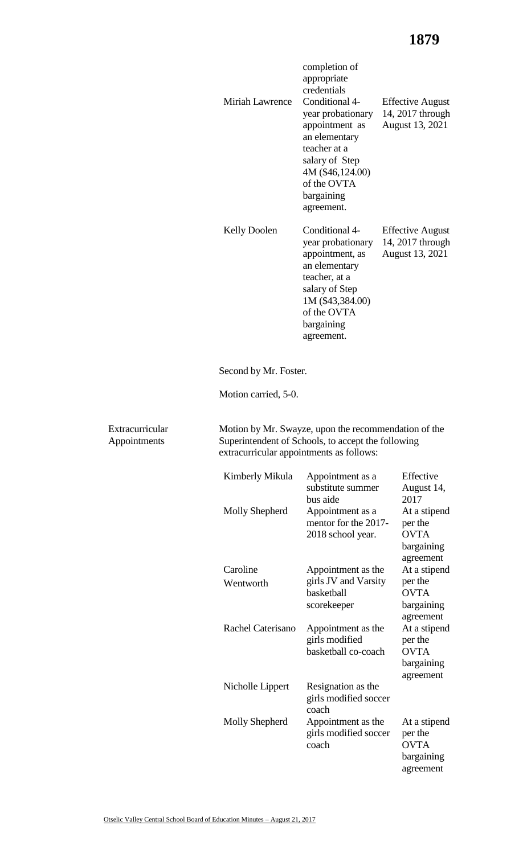## **1879**

bargaining agreement

|                                 | Miriah Lawrence                          | completion of<br>appropriate<br>credentials<br>Conditional 4-<br>year probationary<br>appointment as<br>an elementary<br>teacher at a<br>salary of Step<br>4M (\$46,124.00)<br>of the OVTA<br>bargaining<br>agreement. | <b>Effective August</b><br>14, 2017 through<br>August 13, 2021    |
|---------------------------------|------------------------------------------|------------------------------------------------------------------------------------------------------------------------------------------------------------------------------------------------------------------------|-------------------------------------------------------------------|
|                                 | <b>Kelly Doolen</b>                      | Conditional 4-<br>year probationary<br>appointment, as<br>an elementary<br>teacher, at a<br>salary of Step<br>1M (\$43,384.00)<br>of the OVTA<br>bargaining<br>agreement.                                              | <b>Effective August</b><br>14, 2017 through<br>August 13, 2021    |
|                                 | Second by Mr. Foster.                    |                                                                                                                                                                                                                        |                                                                   |
|                                 | Motion carried, 5-0.                     |                                                                                                                                                                                                                        |                                                                   |
| Extracurricular<br>Appointments | extracurricular appointments as follows: | Motion by Mr. Swayze, upon the recommendation of the<br>Superintendent of Schools, to accept the following                                                                                                             |                                                                   |
|                                 | Kimberly Mikula                          | Appointment as a<br>substitute summer<br>bus aide                                                                                                                                                                      | Effective<br>August 14,<br>2017                                   |
|                                 | Molly Shepherd                           | Appointment as a<br>mentor for the 2017-<br>2018 school year.                                                                                                                                                          | At a stipend<br>per the<br><b>OVTA</b><br>bargaining<br>agreement |
|                                 | Caroline<br>Wentworth                    | At a stipend<br>Appointment as the<br>girls JV and Varsity<br>per the<br><b>OVTA</b><br>basketball<br>bargaining<br>scorekeeper<br>agreement                                                                           |                                                                   |
|                                 | Rachel Caterisano                        | Appointment as the<br>girls modified<br>basketball co-coach                                                                                                                                                            | At a stipend<br>per the<br><b>OVTA</b><br>bargaining<br>agreement |
|                                 | Nicholle Lippert                         | Resignation as the<br>girls modified soccer<br>coach                                                                                                                                                                   |                                                                   |
|                                 | Molly Shepherd                           | Appointment as the<br>girls modified soccer<br>coach                                                                                                                                                                   | At a stipend<br>per the<br><b>OVTA</b>                            |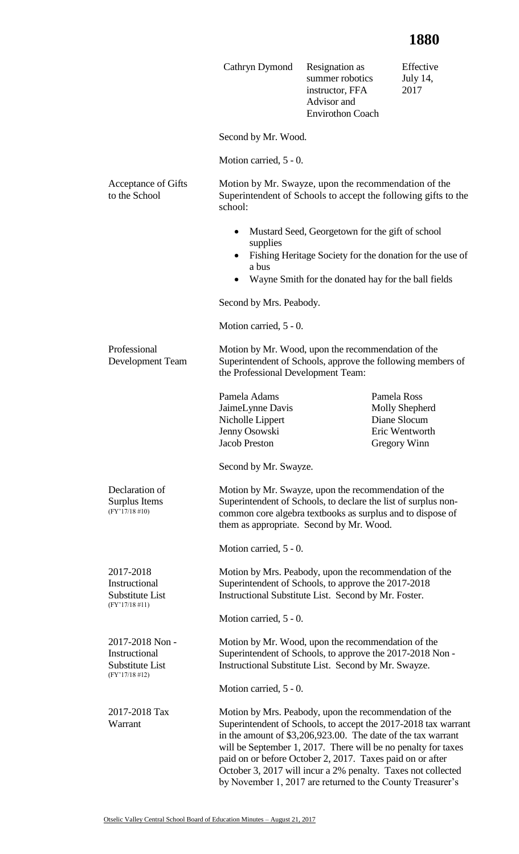## **1880**

|                                                                          | Cathryn Dymond                                                                                                                                                                                                                                             | Resignation as<br>summer robotics<br>instructor, FFA<br>Advisor and<br><b>Envirothon Coach</b> | Effective<br>July 14,<br>2017                                                                                                                                                                   |
|--------------------------------------------------------------------------|------------------------------------------------------------------------------------------------------------------------------------------------------------------------------------------------------------------------------------------------------------|------------------------------------------------------------------------------------------------|-------------------------------------------------------------------------------------------------------------------------------------------------------------------------------------------------|
|                                                                          | Second by Mr. Wood.                                                                                                                                                                                                                                        |                                                                                                |                                                                                                                                                                                                 |
|                                                                          | Motion carried, 5 - 0.                                                                                                                                                                                                                                     |                                                                                                |                                                                                                                                                                                                 |
| Acceptance of Gifts<br>to the School                                     | Motion by Mr. Swayze, upon the recommendation of the<br>school:                                                                                                                                                                                            |                                                                                                | Superintendent of Schools to accept the following gifts to the                                                                                                                                  |
|                                                                          | Mustard Seed, Georgetown for the gift of school<br>٠<br>supplies<br>Fishing Heritage Society for the donation for the use of<br>$\bullet$<br>a bus                                                                                                         |                                                                                                |                                                                                                                                                                                                 |
|                                                                          | Wayne Smith for the donated hay for the ball fields                                                                                                                                                                                                        |                                                                                                |                                                                                                                                                                                                 |
|                                                                          | Second by Mrs. Peabody.                                                                                                                                                                                                                                    |                                                                                                |                                                                                                                                                                                                 |
| Motion carried, 5 - 0.                                                   |                                                                                                                                                                                                                                                            |                                                                                                |                                                                                                                                                                                                 |
| Professional<br>Development Team                                         | Motion by Mr. Wood, upon the recommendation of the<br>Superintendent of Schools, approve the following members of<br>the Professional Development Team:                                                                                                    |                                                                                                |                                                                                                                                                                                                 |
|                                                                          | Pamela Adams<br>JaimeLynne Davis<br>Nicholle Lippert<br>Jenny Osowski<br><b>Jacob Preston</b><br>Second by Mr. Swayze.                                                                                                                                     |                                                                                                | Pamela Ross<br>Molly Shepherd<br>Diane Slocum<br>Eric Wentworth<br>Gregory Winn                                                                                                                 |
| Declaration of<br>Surplus Items<br>$(FY'17/18\#10)$                      | Motion by Mr. Swayze, upon the recommendation of the<br>Superintendent of Schools, to declare the list of surplus non-<br>common core algebra textbooks as surplus and to dispose of<br>them as appropriate. Second by Mr. Wood.<br>Motion carried, 5 - 0. |                                                                                                |                                                                                                                                                                                                 |
| 2017-2018<br>Instructional<br>Substitute List<br>$(FY'17/18 \#11)$       | Motion by Mrs. Peabody, upon the recommendation of the<br>Superintendent of Schools, to approve the 2017-2018<br>Instructional Substitute List. Second by Mr. Foster.                                                                                      |                                                                                                |                                                                                                                                                                                                 |
|                                                                          | Motion carried, 5 - 0.                                                                                                                                                                                                                                     |                                                                                                |                                                                                                                                                                                                 |
| 2017-2018 Non -<br>Instructional<br>Substitute List<br>$(FY'17/18 \#12)$ | Motion by Mr. Wood, upon the recommendation of the<br>Superintendent of Schools, to approve the 2017-2018 Non-<br>Instructional Substitute List. Second by Mr. Swayze.                                                                                     |                                                                                                |                                                                                                                                                                                                 |
|                                                                          | Motion carried, 5 - 0.                                                                                                                                                                                                                                     |                                                                                                |                                                                                                                                                                                                 |
| 2017-2018 Tax<br>Warrant                                                 | Motion by Mrs. Peabody, upon the recommendation of the<br>in the amount of \$3,206,923.00. The date of the tax warrant<br>paid on or before October 2, 2017. Taxes paid on or after<br>by November 1, 2017 are returned to the County Treasurer's          |                                                                                                | Superintendent of Schools, to accept the 2017-2018 tax warrant<br>will be September 1, 2017. There will be no penalty for taxes<br>October 3, 2017 will incur a 2% penalty. Taxes not collected |